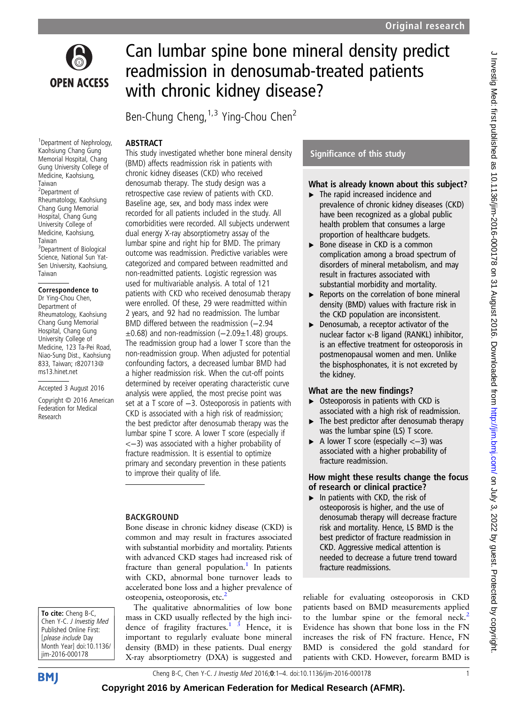

# Can lumbar spine bone mineral density predict readmission in denosumab-treated patients with chronic kidney disease?

Ben-Chung Cheng, <sup>1,3</sup> Ying-Chou Chen<sup>2</sup>

#### ABSTRACT

<sup>1</sup> Department of Nephrology, Kaohsiung Chang Gung Memorial Hospital, Chang Gung University College of Medicine, Kaohsiung, Taiwan <sup>2</sup>Department of Rheumatology, Kaohsiung Chang Gung Memorial Hospital, Chang Gung University College of Medicine, Kaohsiung, Taiwan <sup>3</sup>Department of Biological Science, National Sun Yat-Sen University, Kaohsiung, Taiwan

#### Correspondence to

Dr Ying-Chou Chen, Department of Rheumatology, Kaohsiung Chang Gung Memorial Hospital, Chang Gung University College of Medicine, 123 Ta-Pei Road, Niao-Sung Dist., Kaohsiung 833, Taiwan; r820713@ ms13.hinet.net

#### Accepted 3 August 2016

Copyright © 2016 American Federation for Medical Research

To cite: Cheng B-C, Chen Y-C. J Investig Med Published Online First: [please include Dav Month Year] doi:10.1136/ jim-2016-000178

This study investigated whether bone mineral density (BMD) affects readmission risk in patients with chronic kidney diseases (CKD) who received denosumab therapy. The study design was a retrospective case review of patients with CKD. Baseline age, sex, and body mass index were recorded for all patients included in the study. All comorbidities were recorded. All subjects underwent dual energy X-ray absorptiometry assay of the lumbar spine and right hip for BMD. The primary outcome was readmission. Predictive variables were categorized and compared between readmitted and non-readmitted patients. Logistic regression was used for multivariable analysis. A total of 121 patients with CKD who received denosumab therapy were enrolled. Of these, 29 were readmitted within 2 years, and 92 had no readmission. The lumbar BMD differed between the readmission (−2.94  $\pm$ 0.68) and non-readmission (-2.09 $\pm$ 1.48) groups. The readmission group had a lower T score than the non-readmission group. When adjusted for potential confounding factors, a decreased lumbar BMD had a higher readmission risk. When the cut-off points determined by receiver operating characteristic curve analysis were applied, the most precise point was set at a T score of −3. Osteoporosis in patients with CKD is associated with a high risk of readmission; the best predictor after denosumab therapy was the lumbar spine T score. A lower T score (especially if <−3) was associated with a higher probability of fracture readmission. It is essential to optimize primary and secondary prevention in these patients to improve their quality of life.

## **BACKGROUND**

Bone disease in chronic kidney disease (CKD) is common and may result in fractures associated with substantial morbidity and mortality. Patients with advanced CKD stages had increased risk of fracture than general population.<sup>[1](#page-3-0)</sup> In patients with CKD, abnormal bone turnover leads to accelerated bone loss and a higher prevalence of osteopenia, osteoporosis, etc.<sup>2</sup>

The qualitative abnormalities of low bone mass in CKD usually reflected by the high incidence of fragility fractures.<sup>1</sup> <sup>3</sup> Hence, it is important to regularly evaluate bone mineral density (BMD) in these patients. Dual energy X-ray absorptiometry (DXA) is suggested and

## Significance of this study

## What is already known about this subject?

- ▸ The rapid increased incidence and prevalence of chronic kidney diseases (CKD) have been recognized as a global public health problem that consumes a large proportion of healthcare budgets.
- ► Bone disease in CKD is a common complication among a broad spectrum of disorders of mineral metabolism, and may result in fractures associated with substantial morbidity and mortality.
- ▶ Reports on the correlation of bone mineral density (BMD) values with fracture risk in the CKD population are inconsistent.
- ▸ Denosumab, a receptor activator of the nuclear factor κ-B ligand (RANKL) inhibitor, is an effective treatment for osteoporosis in postmenopausal women and men. Unlike the bisphosphonates, it is not excreted by the kidney.

## What are the new findings?

- ▸ Osteoporosis in patients with CKD is associated with a high risk of readmission.
- $\blacktriangleright$  The best predictor after denosumab therapy was the lumbar spine (LS) T score.
- ▸ A lower T score (especially <−3) was associated with a higher probability of fracture readmission.

## How might these results change the focus of research or clinical practice?

 $\blacktriangleright$  In patients with CKD, the risk of osteoporosis is higher, and the use of denosumab therapy will decrease fracture risk and mortality. Hence, LS BMD is the best predictor of fracture readmission in CKD. Aggressive medical attention is needed to decrease a future trend toward fracture readmissions.

reliable for evaluating osteoporosis in CKD patients based on BMD measurements applied to the lumbar spine or the femoral neck.<sup>2</sup> Evidence has shown that bone loss in the FN increases the risk of FN fracture. Hence, FN BMD is considered the gold standard for patients with CKD. However, forearm BMD is

Cheng B-C, Chen Y-C. J Investig Med 2016;0:1–4. doi:10.1136/jim-2016-000178 1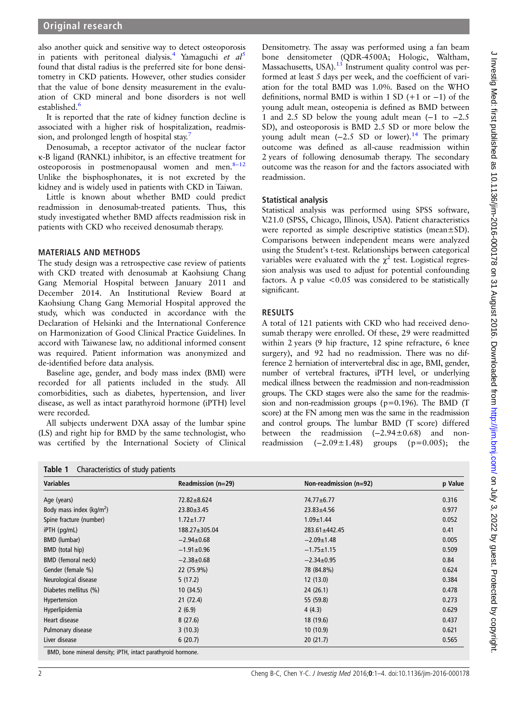<span id="page-1-0"></span>also another quick and sensitive way to detect osteoporosis in patients with peritoneal dialysis.<sup>[4](#page-3-0)</sup> Yamaguchi et  $a l<sup>5</sup>$  $a l<sup>5</sup>$  $a l<sup>5</sup>$ found that distal radius is the preferred site for bone densitometry in CKD patients. However, other studies consider that the value of bone density measurement in the evaluation of CKD mineral and bone disorders is not well established.<sup>[6](#page-3-0)</sup>

It is reported that the rate of kidney function decline is associated with a higher risk of hospitalization, readmis-sion, and prolonged length of hospital stay.<sup>[7](#page-3-0)</sup>

Denosumab, a receptor activator of the nuclear factor κ-B ligand (RANKL) inhibitor, is an effective treatment for osteoporosis in postmenopausal women and men. $8-12$  $8-12$ Unlike the bisphosphonates, it is not excreted by the kidney and is widely used in patients with CKD in Taiwan.

Little is known about whether BMD could predict readmission in denosumab-treated patients. Thus, this study investigated whether BMD affects readmission risk in patients with CKD who received denosumab therapy.

#### MATERIALS AND METHODS

The study design was a retrospective case review of patients with CKD treated with denosumab at Kaohsiung Chang Gang Memorial Hospital between January 2011 and December 2014. An Institutional Review Board at Kaohsiung Chang Gang Memorial Hospital approved the study, which was conducted in accordance with the Declaration of Helsinki and the International Conference on Harmonization of Good Clinical Practice Guidelines. In accord with Taiwanese law, no additional informed consent was required. Patient information was anonymized and de-identified before data analysis.

Baseline age, gender, and body mass index (BMI) were recorded for all patients included in the study. All comorbidities, such as diabetes, hypertension, and liver disease, as well as intact parathyroid hormone (iPTH) level were recorded.

All subjects underwent DXA assay of the lumbar spine (LS) and right hip for BMD by the same technologist, who was certified by the International Society of Clinical

Densitometry. The assay was performed using a fan beam bone densitometer (QDR-4500A; Hologic, Waltham, Massachusetts, USA).<sup>[13](#page-3-0)</sup> Instrument quality control was performed at least 5 days per week, and the coefficient of variation for the total BMD was 1.0%. Based on the WHO definitions, normal BMD is within 1 SD  $(+1 \text{ or } -1)$  of the young adult mean, osteopenia is defined as BMD between 1 and 2.5 SD below the young adult mean  $(-1)$  to  $-2.5$ SD), and osteoporosis is BMD 2.5 SD or more below the young adult mean  $(-2.5 SD)$  or lower).<sup>[14](#page-3-0)</sup> The primary outcome was defined as all-cause readmission within 2 years of following denosumab therapy. The secondary outcome was the reason for and the factors associated with readmission.

#### Statistical analysis

Statistical analysis was performed using SPSS software, V.21.0 (SPSS, Chicago, Illinois, USA). Patient characteristics were reported as simple descriptive statistics (mean±SD). Comparisons between independent means were analyzed using the Student's t-test. Relationships between categorical variables were evaluated with the  $\chi^2$  test. Logistical regression analysis was used to adjust for potential confounding factors. A  $p$  value  $< 0.05$  was considered to be statistically significant.

#### RESULTS

A total of 121 patients with CKD who had received denosumab therapy were enrolled. Of these, 29 were readmitted within 2 years (9 hip fracture, 12 spine refracture, 6 knee surgery), and 92 had no readmission. There was no difference 2 herniation of intervertebral disc in age, BMI, gender, number of vertebral fractures, iPTH level, or underlying medical illness between the readmission and non-readmission groups. The CKD stages were also the same for the readmission and non-readmission groups ( $p=0.196$ ). The BMD (T score) at the FN among men was the same in the readmission and control groups. The lumbar BMD (T score) differed between the readmission (−2.94±0.68) and nonreadmission  $(-2.09 \pm 1.48)$  groups  $(p=0.005)$ ; the

| <b>Variables</b>            | Readmission (n=29) | Non-readmission (n=92) | p Value |  |
|-----------------------------|--------------------|------------------------|---------|--|
| Age (years)                 | $72.82 \pm 8.624$  | $74.77 + 6.77$         | 0.316   |  |
| Body mass index ( $kg/m2$ ) | $23.80 \pm 3.45$   | $23.83 \pm 4.56$       | 0.977   |  |
| Spine fracture (number)     | $1.72 \pm 1.77$    | $1.09 \pm 1.44$        | 0.052   |  |
| iPTH (pg/mL)                | 188.27±305.04      | 283.61±442.45          | 0.41    |  |
| BMD (lumbar)                | $-2.94 \pm 0.68$   | $-2.09+1.48$           | 0.005   |  |
| BMD (total hip)             | $-1.91 \pm 0.96$   | $-1.75 \pm 1.15$       | 0.509   |  |
| BMD (femoral neck)          | $-2.38 \pm 0.68$   | $-2.34+0.95$           | 0.84    |  |
| Gender (female %)           | 22 (75.9%)         | 78 (84.8%)             | 0.624   |  |
| Neurological disease        | 5(17.2)            | 12(13.0)               | 0.384   |  |
| Diabetes mellitus (%)       | 10(34.5)           | 24(26.1)               | 0.478   |  |
| Hypertension                | 21(72.4)           | 55 (59.8)              | 0.273   |  |
| Hyperlipidemia              | 2(6.9)             | 4(4.3)                 | 0.629   |  |
| Heart disease               | 8(27.6)            | 18 (19.6)              | 0.437   |  |
| Pulmonary disease           | 3(10.3)            | 10(10.9)               | 0.621   |  |
| Liver disease               | 6(20.7)            | 20(21.7)               | 0.565   |  |

BMD, bone mineral density; iPTH, intact parathyroid hormone.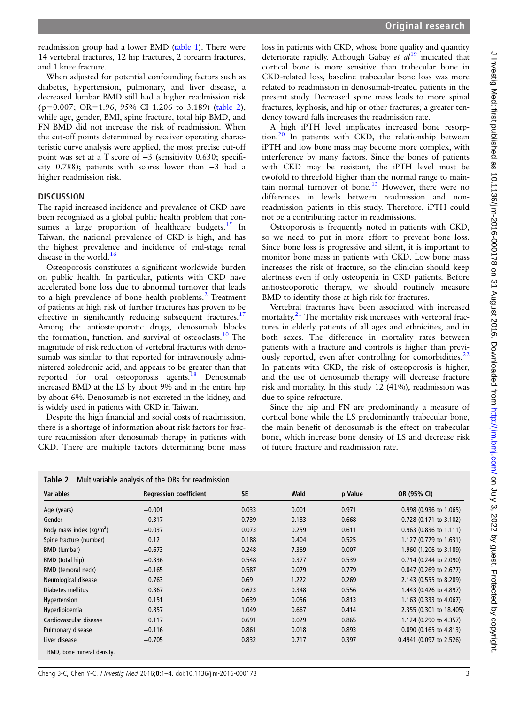readmission group had a lower BMD ([table 1](#page-1-0)). There were 14 vertebral fractures, 12 hip fractures, 2 forearm fractures, and 1 knee fracture.

When adjusted for potential confounding factors such as diabetes, hypertension, pulmonary, and liver disease, a decreased lumbar BMD still had a higher readmission risk (p=0.007; OR=1.96, 95% CI 1.206 to 3.189) (table 2), while age, gender, BMI, spine fracture, total hip BMD, and FN BMD did not increase the risk of readmission. When the cut-off points determined by receiver operating characteristic curve analysis were applied, the most precise cut-off point was set at a T score of −3 (sensitivity 0.630; specificity 0.788); patients with scores lower than −3 had a higher readmission risk.

#### **DISCUSSION**

The rapid increased incidence and prevalence of CKD have been recognized as a global public health problem that con-sumes a large proportion of healthcare budgets.<sup>[15](#page-3-0)</sup> In Taiwan, the national prevalence of CKD is high, and has the highest prevalence and incidence of end-stage renal disease in the world.<sup>[16](#page-3-0)</sup>

Osteoporosis constitutes a significant worldwide burden on public health. In particular, patients with CKD have accelerated bone loss due to abnormal turnover that leads to a high prevalence of bone health problems.<sup>[2](#page-3-0)</sup> Treatment of patients at high risk of further fractures has proven to be effective in significantly reducing subsequent fractures.<sup>[17](#page-3-0)</sup> Among the antiosteoporotic drugs, denosumab blocks the formation, function, and survival of osteoclasts.<sup>[10](#page-3-0)</sup> The magnitude of risk reduction of vertebral fractures with denosumab was similar to that reported for intravenously administered zoledronic acid, and appears to be greater than that reported for oral osteoporosis agents.<sup>[18](#page-3-0)</sup> Denosumab increased BMD at the LS by about 9% and in the entire hip by about 6%. Denosumab is not excreted in the kidney, and is widely used in patients with CKD in Taiwan.

Despite the high financial and social costs of readmission, there is a shortage of information about risk factors for fracture readmission after denosumab therapy in patients with CKD. There are multiple factors determining bone mass

loss in patients with CKD, whose bone quality and quantity deteriorate rapidly. Although Gabay et  $al<sup>19</sup>$  $al<sup>19</sup>$  $al<sup>19</sup>$  indicated that cortical bone is more sensitive than trabecular bone in CKD-related loss, baseline trabecular bone loss was more related to readmission in denosumab-treated patients in the present study. Decreased spine mass leads to more spinal fractures, kyphosis, and hip or other fractures; a greater tendency toward falls increases the readmission rate.

A high iPTH level implicates increased bone resorp-tion.<sup>[20](#page-3-0)</sup> In patients with CKD, the relationship between iPTH and low bone mass may become more complex, with interference by many factors. Since the bones of patients with CKD may be resistant, the iPTH level must be twofold to threefold higher than the normal range to main-tain normal turnover of bone.<sup>[13](#page-3-0)</sup> However, there were no differences in levels between readmission and nonreadmission patients in this study. Therefore, iPTH could not be a contributing factor in readmissions.

Osteoporosis is frequently noted in patients with CKD, so we need to put in more effort to prevent bone loss. Since bone loss is progressive and silent, it is important to monitor bone mass in patients with CKD. Low bone mass increases the risk of fracture, so the clinician should keep alertness even if only osteopenia in CKD patients. Before antiosteoporotic therapy, we should routinely measure BMD to identify those at high risk for fractures.

Vertebral fractures have been associated with increased mortality. $2<sup>1</sup>$  The mortality risk increases with vertebral fractures in elderly patients of all ages and ethnicities, and in both sexes. The difference in mortality rates between patients with a fracture and controls is higher than previ-ously reported, even after controlling for comorbidities.<sup>[22](#page-3-0)</sup> In patients with CKD, the risk of osteoporosis is higher, and the use of denosumab therapy will decrease fracture risk and mortality. In this study 12 (41%), readmission was due to spine refracture.

Since the hip and FN are predominantly a measure of cortical bone while the LS predominantly trabecular bone, the main benefit of denosumab is the effect on trabecular bone, which increase bone density of LS and decrease risk of future fracture and readmission rate.

| Table 2 |  |  |  | Multivariable analysis of the ORs for readmission |
|---------|--|--|--|---------------------------------------------------|
|---------|--|--|--|---------------------------------------------------|

| <b>Variables</b>            | <b>Regression coefficient</b> | <b>SE</b> | Wald  | p Value | OR (95% CI)              |
|-----------------------------|-------------------------------|-----------|-------|---------|--------------------------|
| Age (years)                 | $-0.001$                      | 0.033     | 0.001 | 0.971   | 0.998 (0.936 to 1.065)   |
| Gender                      | $-0.317$                      | 0.739     | 0.183 | 0.668   | 0.728 (0.171 to 3.102)   |
| Body mass index ( $kg/m2$ ) | $-0.037$                      | 0.073     | 0.259 | 0.611   | 0.963 (0.836 to 1.111)   |
| Spine fracture (number)     | 0.12                          | 0.188     | 0.404 | 0.525   | 1.127 (0.779 to 1.631)   |
| BMD (lumbar)                | $-0.673$                      | 0.248     | 7.369 | 0.007   | 1.960 (1.206 to 3.189)   |
| BMD (total hip)             | $-0.336$                      | 0.548     | 0.377 | 0.539   | 0.714 (0.244 to 2.090)   |
| BMD (femoral neck)          | $-0.165$                      | 0.587     | 0.079 | 0.779   | $0.847$ (0.269 to 2.677) |
| Neurological disease        | 0.763                         | 0.69      | 1.222 | 0.269   | 2.143 (0.555 to 8.289)   |
| Diabetes mellitus           | 0.367                         | 0.623     | 0.348 | 0.556   | 1.443 (0.426 to 4.897)   |
| Hypertension                | 0.151                         | 0.639     | 0.056 | 0.813   | 1.163 (0.333 to 4.067)   |
| Hyperlipidemia              | 0.857                         | 1.049     | 0.667 | 0.414   | 2.355 (0.301 to 18.405)  |
| Cardiovascular disease      | 0.117                         | 0.691     | 0.029 | 0.865   | 1.124 (0.290 to 4.357)   |
| Pulmonary disease           | $-0.116$                      | 0.861     | 0.018 | 0.893   | 0.890 (0.165 to 4.813)   |
| Liver disease               | $-0.705$                      | 0.832     | 0.717 | 0.397   | 0.4941 (0.097 to 2.526)  |

BMD, bone mineral density.